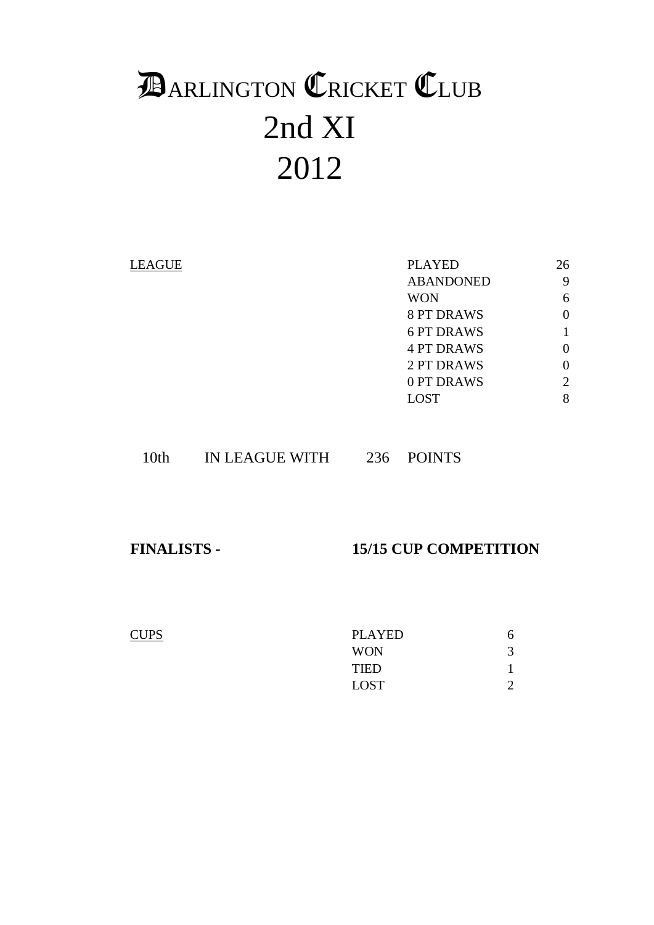# 2nd XI 2012 **DARLINGTON CRICKET CLUB**

| <b>LEAGUE</b> | <b>PLAYED</b>     | 26       |
|---------------|-------------------|----------|
|               | <b>ABANDONED</b>  | 9        |
|               | <b>WON</b>        | 6        |
|               | <b>8 PT DRAWS</b> | 0        |
|               | <b>6 PT DRAWS</b> |          |
|               | <b>4 PT DRAWS</b> | 0        |
|               | 2 PT DRAWS        | $\theta$ |
|               | 0 PT DRAWS        | 2        |
|               | <b>LOST</b>       | 8        |
|               |                   |          |

## 10th IN LEAGUE WITH 236 POINTS

# **FINALISTS - 15/15 CUP COMPETITION**

| <b>CUPS</b> | PLAYED      |  |
|-------------|-------------|--|
|             | <b>WON</b>  |  |
|             | <b>TIED</b> |  |
|             | <b>LOST</b> |  |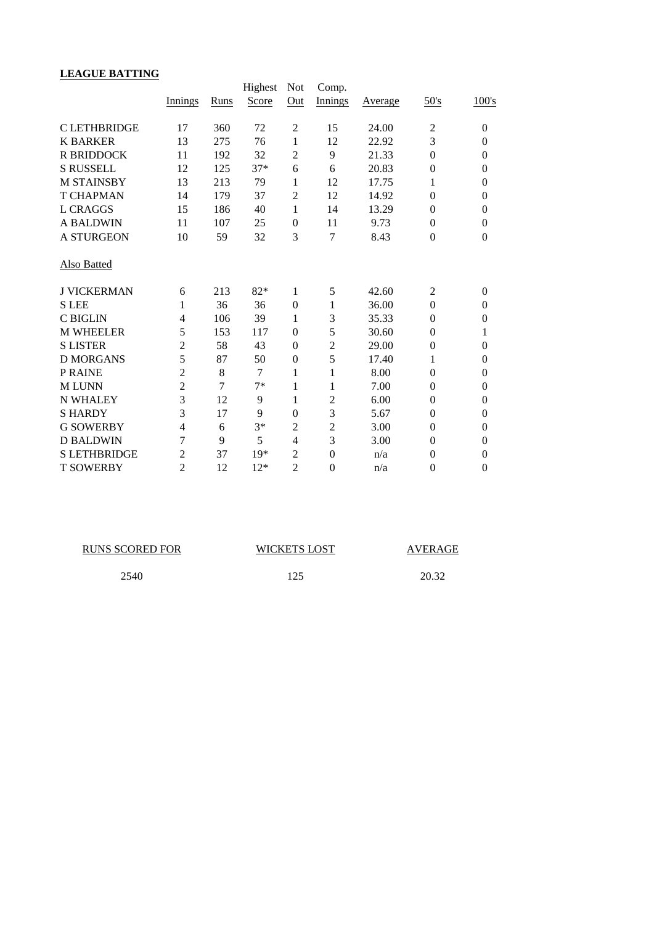# **LEAGUE BATTING**

|                     | Innings        | Runs | Highest<br>Score | <b>Not</b><br>Q <u>ut</u> | Comp.<br>Innings | Average | 50's           | 100's            |
|---------------------|----------------|------|------------------|---------------------------|------------------|---------|----------------|------------------|
| <b>CLETHBRIDGE</b>  | 17             | 360  | 72               | 2                         | 15               | 24.00   | $\overline{c}$ | $\boldsymbol{0}$ |
| <b>K BARKER</b>     | 13             | 275  | 76               | 1                         | 12               | 22.92   | 3              | $\boldsymbol{0}$ |
| <b>R BRIDDOCK</b>   | 11             | 192  | 32               | $\overline{2}$            | 9                | 21.33   | $\overline{0}$ | $\theta$         |
| <b>S RUSSELL</b>    | 12             | 125  | $37*$            | 6                         | 6                | 20.83   | $\theta$       | $\theta$         |
| <b>M STAINSBY</b>   | 13             | 213  | 79               | 1                         | 12               | 17.75   | 1              | $\theta$         |
| <b>T CHAPMAN</b>    | 14             | 179  | 37               | $\overline{c}$            | 12               | 14.92   | $\theta$       | $\overline{0}$   |
| L CRAGGS            | 15             | 186  | 40               | 1                         | 14               | 13.29   | $\theta$       | $\overline{0}$   |
| <b>A BALDWIN</b>    | 11             | 107  | 25               | $\overline{0}$            | 11               | 9.73    | $\overline{0}$ | $\overline{0}$   |
| <b>A STURGEON</b>   | 10             | 59   | 32               | 3                         | $\overline{7}$   | 8.43    | $\mathbf{0}$   | $\boldsymbol{0}$ |
| Also Batted         |                |      |                  |                           |                  |         |                |                  |
| <b>J VICKERMAN</b>  | 6              | 213  | $82*$            | $\mathbf{1}$              | 5                | 42.60   | $\overline{2}$ | $\overline{0}$   |
| <b>SLEE</b>         | 1              | 36   | 36               | $\mathbf{0}$              | 1                | 36.00   | $\theta$       | $\overline{0}$   |
| <b>C BIGLIN</b>     | 4              | 106  | 39               | 1                         | 3                | 35.33   | $\overline{0}$ | $\overline{0}$   |
| <b>M WHEELER</b>    | 5              | 153  | 117              | $\mathbf{0}$              | 5                | 30.60   | $\theta$       | 1                |
| <b>S LISTER</b>     | $\overline{2}$ | 58   | 43               | $\overline{0}$            | $\overline{2}$   | 29.00   | $\theta$       | $\overline{0}$   |
| <b>D MORGANS</b>    | 5              | 87   | 50               | $\boldsymbol{0}$          | 5                | 17.40   | 1              | $\overline{0}$   |
| <b>P RAINE</b>      | $\overline{2}$ | 8    | $\tau$           | $\mathbf{1}$              | 1                | 8.00    | $\theta$       | $\boldsymbol{0}$ |
| <b>MLUNN</b>        | $\overline{2}$ | 7    | $7*$             | $\mathbf{1}$              | 1                | 7.00    | $\theta$       | $\overline{0}$   |
| <b>N WHALEY</b>     | 3              | 12   | 9                | $\mathbf{1}$              | $\overline{2}$   | 6.00    | $\overline{0}$ | $\overline{0}$   |
| <b>SHARDY</b>       | 3              | 17   | 9                | $\overline{0}$            | 3                | 5.67    | $\theta$       | $\overline{0}$   |
| <b>G SOWERBY</b>    | $\overline{4}$ | 6    | $3*$             | $\overline{c}$            | $\overline{c}$   | 3.00    | $\theta$       | $\overline{0}$   |
| <b>D BALDWIN</b>    | 7              | 9    | 5                | 4                         | 3                | 3.00    | $\Omega$       | $\overline{0}$   |
| <b>S LETHBRIDGE</b> | 2              | 37   | $19*$            | $\overline{c}$            | $\overline{0}$   | n/a     | $\overline{0}$ | $\overline{0}$   |
| <b>T SOWERBY</b>    | $\overline{2}$ | 12   | $12*$            | $\overline{2}$            | $\boldsymbol{0}$ | n/a     | $\mathbf{0}$   | $\boldsymbol{0}$ |

| <b>RUNS SCORED FOR</b> | <b>WICKETS LOST</b> | <b>AVERAGE</b> |
|------------------------|---------------------|----------------|
| 2540                   | 125                 | 20.32          |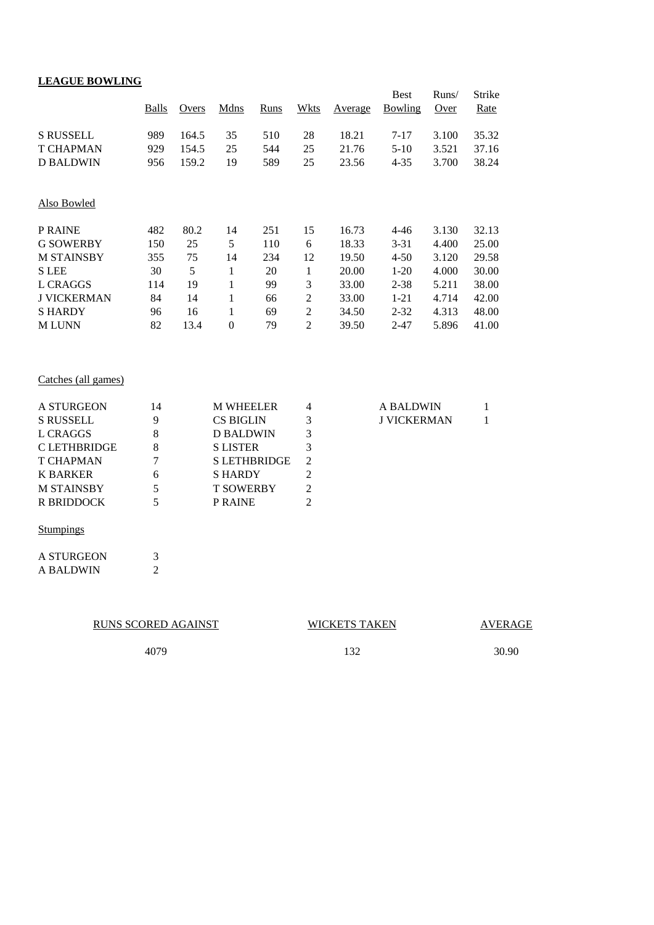| <b>LEAGUE BOWLING</b> |                             |       |                  |                     |                |         |                        |               |                       |
|-----------------------|-----------------------------|-------|------------------|---------------------|----------------|---------|------------------------|---------------|-----------------------|
|                       | <b>Balls</b>                | Overs | Mdns             | Runs                | Wkts           | Average | <b>Best</b><br>Bowling | Runs/<br>Over | <b>Strike</b><br>Rate |
| <b>S RUSSELL</b>      | 989                         | 164.5 | 35               | 510                 | 28             | 18.21   | $7 - 17$               | 3.100         | 35.32                 |
| <b>T CHAPMAN</b>      | 929                         | 154.5 | 25               | 544                 | 25             | 21.76   | $5-10$                 | 3.521         | 37.16                 |
| <b>D BALDWIN</b>      | 956                         | 159.2 | 19               | 589                 | 25             | 23.56   | $4 - 35$               | 3.700         | 38.24                 |
| Also Bowled           |                             |       |                  |                     |                |         |                        |               |                       |
| P RAINE               | 482                         | 80.2  | 14               | 251                 | 15             | 16.73   | $4 - 46$               | 3.130         | 32.13                 |
| <b>G SOWERBY</b>      | 150                         | 25    | 5                | 110                 | 6              | 18.33   | $3 - 31$               | 4.400         | 25.00                 |
| <b>M STAINSBY</b>     | 355                         | 75    | 14               | 234                 | 12             | 19.50   | $4 - 50$               | 3.120         | 29.58                 |
| <b>S</b> LEE          | 30                          | 5     | $\mathbf{1}$     | 20                  | $\mathbf{1}$   | 20.00   | $1 - 20$               | 4.000         | 30.00                 |
| <b>L CRAGGS</b>       | 114                         | 19    | $\mathbf{1}$     | 99                  | 3              | 33.00   | $2 - 38$               | 5.211         | 38.00                 |
| <b>J VICKERMAN</b>    | 84                          | 14    | $\mathbf{1}$     | 66                  | $\overline{c}$ | 33.00   | $1 - 21$               | 4.714         | 42.00                 |
| <b>SHARDY</b>         | 96                          | 16    | $\mathbf{1}$     | 69                  | $\overline{c}$ | 34.50   | $2 - 32$               | 4.313         | 48.00                 |
| <b>MLUNN</b>          | 82                          | 13.4  | $\mathbf{0}$     | 79                  | $\overline{2}$ | 39.50   | $2 - 47$               | 5.896         | 41.00                 |
| Catches (all games)   |                             |       |                  |                     |                |         |                        |               |                       |
| <b>A STURGEON</b>     | 14                          |       | <b>M WHEELER</b> |                     | 4              |         | <b>A BALDWIN</b>       |               | 1                     |
| <b>S RUSSELL</b>      | 9                           |       | <b>CS BIGLIN</b> |                     | 3              |         | <b>J VICKERMAN</b>     |               | $\mathbf{1}$          |
| <b>L CRAGGS</b>       | 8                           |       | <b>D BALDWIN</b> |                     | 3              |         |                        |               |                       |
| <b>CLETHBRIDGE</b>    | 8                           |       | <b>S LISTER</b>  |                     | 3              |         |                        |               |                       |
| <b>T CHAPMAN</b>      | 7                           |       |                  | <b>S LETHBRIDGE</b> | $\overline{2}$ |         |                        |               |                       |
| <b>K BARKER</b>       | 6                           |       | <b>SHARDY</b>    |                     | $\overline{2}$ |         |                        |               |                       |
| <b>M STAINSBY</b>     | 5                           |       | <b>T SOWERBY</b> |                     | $\overline{2}$ |         |                        |               |                       |
| <b>R BRIDDOCK</b>     | 5                           |       | P RAINE          |                     | $\overline{2}$ |         |                        |               |                       |
| <b>Stumpings</b>      |                             |       |                  |                     |                |         |                        |               |                       |
| <b>A STURGEON</b>     | $\ensuremath{\mathfrak{Z}}$ |       |                  |                     |                |         |                        |               |                       |
| <b>A BALDWIN</b>      | $\overline{2}$              |       |                  |                     |                |         |                        |               |                       |
|                       |                             |       |                  |                     |                |         |                        |               |                       |

RUNS SCORED AGAINST WICKETS TAKEN

AVERAGE

4079 132 30.90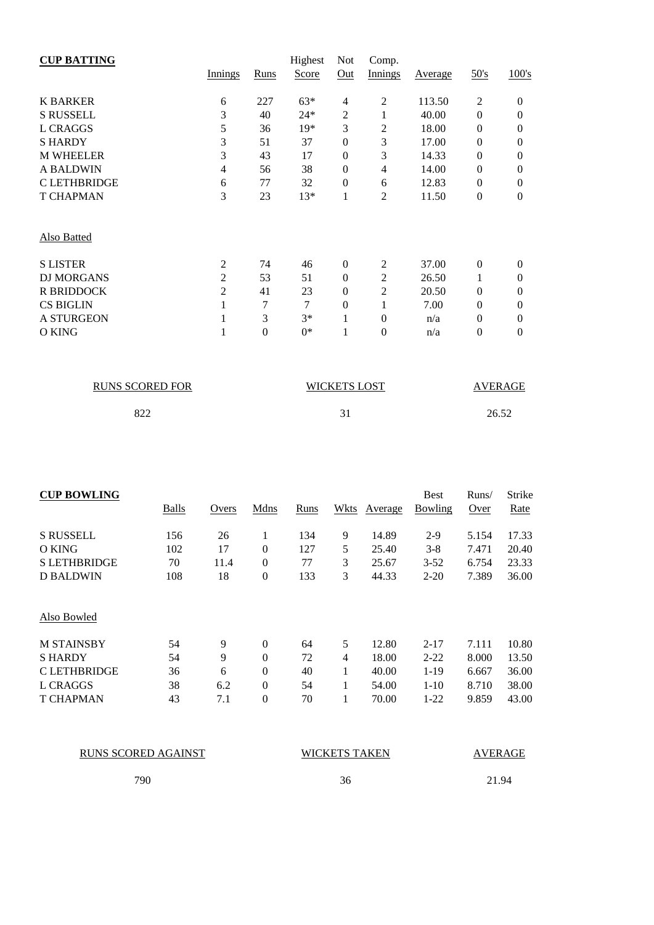| <b>CUP BATTING</b> |                |                  | Highest      | <b>Not</b>       | Comp.          |         |                |          |
|--------------------|----------------|------------------|--------------|------------------|----------------|---------|----------------|----------|
|                    | <b>Innings</b> | <b>Runs</b>      | <b>Score</b> | Out              | <b>Innings</b> | Average | 50's           | 100's    |
| <b>K BARKER</b>    | 6              | 227              | $63*$        | $\overline{4}$   | $\overline{2}$ | 113.50  | $\overline{2}$ | $\Omega$ |
| <b>S RUSSELL</b>   | 3              | 40               | $24*$        | 2                | 1              | 40.00   | $\Omega$       | $\theta$ |
| <b>L CRAGGS</b>    | 5              | 36               | $19*$        | 3                | 2              | 18.00   | $\Omega$       | 0        |
| <b>SHARDY</b>      | 3              | 51               | 37           | $\boldsymbol{0}$ | 3              | 17.00   | $\Omega$       | 0        |
| <b>M WHEELER</b>   | 3              | 43               | 17           | $\boldsymbol{0}$ | 3              | 14.33   | $\theta$       | 0        |
| <b>A BALDWIN</b>   | $\overline{4}$ | 56               | 38           | $\mathbf{0}$     | 4              | 14.00   | $\Omega$       | 0        |
| <b>CLETHBRIDGE</b> | 6              | 77               | 32           | $\mathbf{0}$     | 6              | 12.83   | $\Omega$       | $\theta$ |
| <b>T CHAPMAN</b>   | 3              | 23               | $13*$        | 1                | 2              | 11.50   | $\theta$       | $\theta$ |
| Also Batted        |                |                  |              |                  |                |         |                |          |
| <b>S LISTER</b>    | 2              | 74               | 46           | $\Omega$         | $\overline{2}$ | 37.00   | $\Omega$       | $\Omega$ |
| <b>DJ MORGANS</b>  | $\overline{2}$ | 53               | 51           | $\mathbf{0}$     | $\overline{2}$ | 26.50   |                | 0        |
| <b>R BRIDDOCK</b>  | $\overline{2}$ | 41               | 23           | $\theta$         | 2              | 20.50   | $\Omega$       | $\theta$ |
| <b>CS BIGLIN</b>   | 1              | 7                | 7            | $\mathbf{0}$     | 1              | 7.00    | $\Omega$       | $\theta$ |
| <b>A STURGEON</b>  | 1              | 3                | $3*$         | 1                | $\theta$       | n/a     | $\Omega$       | 0        |
| O KING             | 1              | $\boldsymbol{0}$ | $0*$         | 1                | $\overline{0}$ | n/a     | $\theta$       | $\theta$ |

| <b>RUNS SCORED FOR</b> | <b>WICKETS LOST</b> | <b>AVERAGE</b> |
|------------------------|---------------------|----------------|
| 822                    |                     | 26.52          |

| <b>CUP BOWLING</b>  |              |       |                  |             |      |         | <b>Best</b>    | Runs/ | Strike |
|---------------------|--------------|-------|------------------|-------------|------|---------|----------------|-------|--------|
|                     | <b>Balls</b> | Overs | Mdns             | <b>Runs</b> | Wkts | Average | <b>Bowling</b> | Over  | Rate   |
| <b>S RUSSELL</b>    | 156          | 26    | 1                | 134         | 9    | 14.89   | $2-9$          | 5.154 | 17.33  |
| O KING              | 102          | 17    | $\boldsymbol{0}$ | 127         | 5    | 25.40   | $3 - 8$        | 7.471 | 20.40  |
| <b>S LETHBRIDGE</b> | 70           | 11.4  | $\mathbf{0}$     | 77          | 3    | 25.67   | $3 - 52$       | 6.754 | 23.33  |
| D BALDWIN           | 108          | 18    | $\boldsymbol{0}$ | 133         | 3    | 44.33   | $2 - 20$       | 7.389 | 36.00  |
| Also Bowled         |              |       |                  |             |      |         |                |       |        |
| <b>M STAINSBY</b>   | 54           | 9     | $\mathbf{0}$     | 64          | 5    | 12.80   | $2 - 17$       | 7.111 | 10.80  |
| <b>SHARDY</b>       | 54           | 9     | $\boldsymbol{0}$ | 72          | 4    | 18.00   | $2 - 22$       | 8.000 | 13.50  |
| <b>CLETHBRIDGE</b>  | 36           | 6     | $\theta$         | 40          | 1    | 40.00   | $1 - 19$       | 6.667 | 36.00  |
| L CRAGGS            | 38           | 6.2   | $\mathbf{0}$     | 54          | 1    | 54.00   | $1 - 10$       | 8.710 | 38.00  |
| <b>T CHAPMAN</b>    | 43           | 7.1   | $\boldsymbol{0}$ | 70          | 1    | 70.00   | $1-22$         | 9.859 | 43.00  |

RUNS SCORED AGAINST

WICKETS TAKEN AVERAGE

790

36

21.94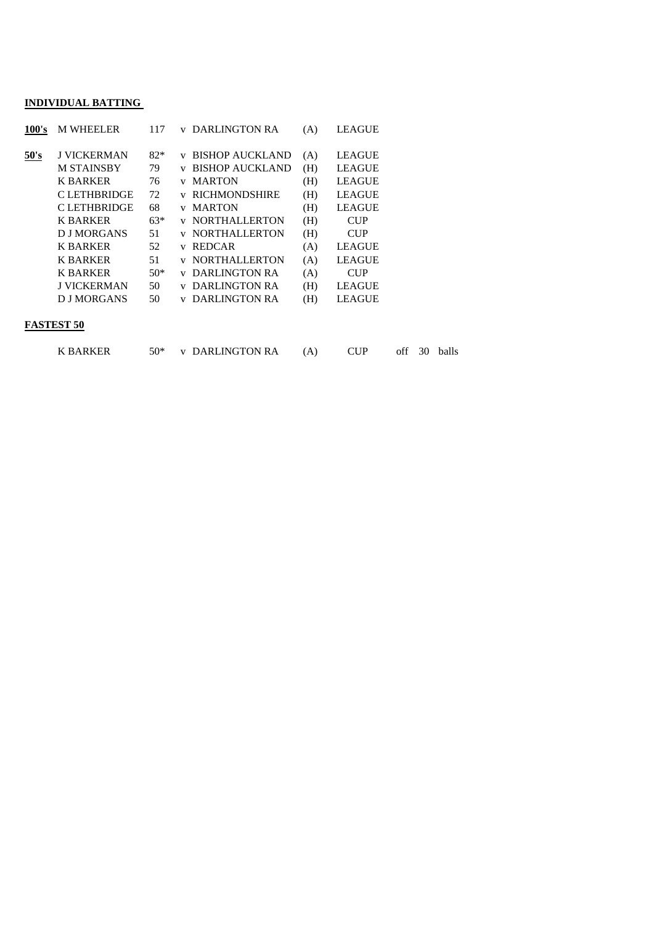#### **INDIVIDUAL BATTING**

| 100's | <b>M WHEELER</b>                                    | 117               | DARLINGTON RA<br><b>LEAGUE</b><br>(A)<br>V                                                                                                          |
|-------|-----------------------------------------------------|-------------------|-----------------------------------------------------------------------------------------------------------------------------------------------------|
| 50's  | <b>J VICKERMAN</b><br><b>M STAINSBY</b><br>K BARKER | $82*$<br>79<br>76 | <b>LEAGUE</b><br><b>BISHOP AUCKLAND</b><br>(A)<br>V<br><b>BISHOP AUCKLAND</b><br><b>LEAGUE</b><br>(H)<br><b>LEAGUE</b><br><b>MARTON</b><br>(H)<br>V |
|       | <b>CLETHBRIDGE</b>                                  | 72                | <b>RICHMONDSHIRE</b><br><b>LEAGUE</b><br>(H)                                                                                                        |
|       | <b>CLETHBRIDGE</b>                                  | 68                | <b>LEAGUE</b><br><b>MARTON</b><br>(H)<br>$\mathbf{V}$                                                                                               |
|       | K BARKER                                            | $63*$             | <b>NORTHALLERTON</b><br>(H)<br><b>CUP</b>                                                                                                           |
|       | <b>DJ MORGANS</b>                                   | 51                | <b>NORTHALLERTON</b><br>(H)<br><b>CUP</b><br>v                                                                                                      |
|       | K BARKER                                            | 52                | <b>LEAGUE</b><br><b>REDCAR</b><br>(A)<br>v                                                                                                          |
|       | <b>K BARKER</b>                                     | 51                | <b>NORTHALLERTON</b><br><b>LEAGUE</b><br>(A)<br>v                                                                                                   |
|       | <b>K BARKER</b>                                     | $50*$             | DARLINGTON RA<br><b>CUP</b><br>(A)<br>V                                                                                                             |
|       | <b>J VICKERMAN</b>                                  | 50                | DARLINGTON RA<br><b>LEAGUE</b><br>(H)                                                                                                               |
|       | <b>DJ MORGANS</b>                                   | 50                | <b>LEAGUE</b><br>DARLINGTON RA<br>(H)                                                                                                               |
|       | __ . ___________                                    |                   |                                                                                                                                                     |

#### **FASTEST 50**

| K BARKER |  | 50* v DARLINGTON RA |  |  |  |  | off 30 balls |
|----------|--|---------------------|--|--|--|--|--------------|
|----------|--|---------------------|--|--|--|--|--------------|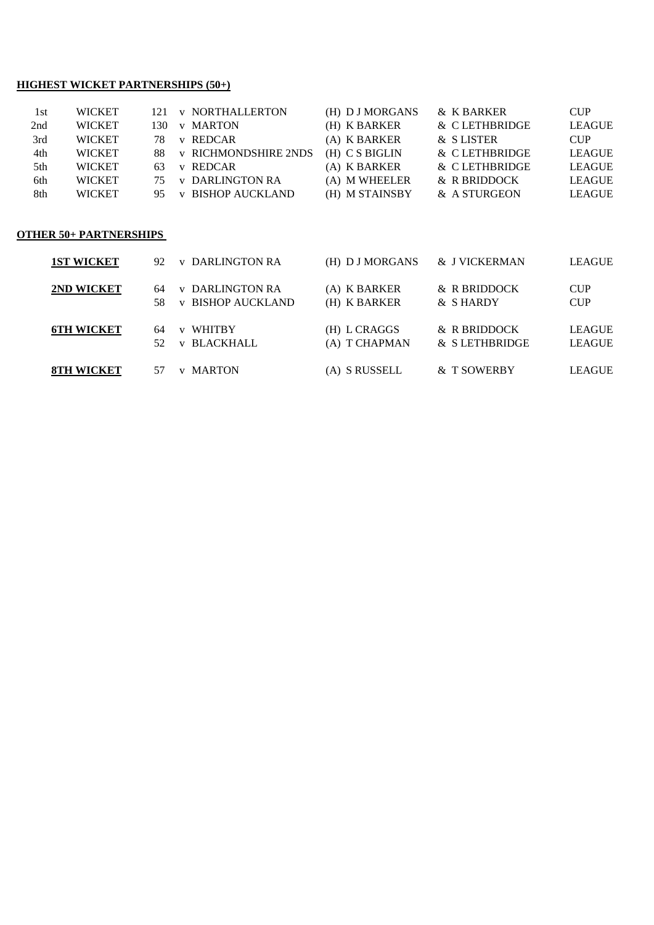#### **HIGHEST WICKET PARTNERSHIPS (50+)**

| 1st | <b>WICKET</b> |      | 121 v NORTHALLERTON         | (H) D J MORGANS | & K BARKER    | <b>CUP</b>    |
|-----|---------------|------|-----------------------------|-----------------|---------------|---------------|
| 2nd | <b>WICKET</b> | 130- | <b>v</b> MARTON             | (H) K BARKER    | & CLETHBRIDGE | LEAGUE        |
| 3rd | <b>WICKET</b> | 78.  | v REDCAR                    | (A) K BARKER    | & SLISTER     | CIIP          |
| 4th | <b>WICKET</b> | 88.  | <b>v RICHMONDSHIRE 2NDS</b> | (H) C S BIGLIN  | & CLETHBRIDGE | <b>LEAGUE</b> |
| 5th | <b>WICKET</b> | 63.  | v REDCAR                    | (A) K BARKER    | & CLETHBRIDGE | <b>LEAGUE</b> |
| 6th | <b>WICKET</b> | 75.  | <b>v</b> DARLINGTON RA      | (A) M WHEELER   | & R BRIDDOCK  | <b>LEAGUE</b> |
| 8th | <b>WICKET</b> | 95.  | <b>v BISHOP AUCKLAND</b>    | (H) M STAINSBY  | & A STURGEON  | <b>LEAGUE</b> |
|     |               |      |                             |                 |               |               |

#### **OTHER 50+ PARTNERSHIPS**

| <b>1ST WICKET</b> | <b>v</b> DARLINGTON RA<br>92.                                  | (H) D J MORGANS               | & J VICKERMAN                 | <b>LEAGUE</b>                  |
|-------------------|----------------------------------------------------------------|-------------------------------|-------------------------------|--------------------------------|
| 2ND WICKET        | <b>v DARLINGTON RA</b><br>64<br><b>v BISHOP AUCKLAND</b><br>58 | (A) K BARKER<br>(H) K BARKER  | & R BRIDDOCK<br>& SHARDY      | <b>CUP</b><br><b>CUP</b>       |
| <b>6TH WICKET</b> | v WHITBY<br>64<br><b>v BLACKHALL</b><br>52                     | (H) L CRAGGS<br>(A) T CHAPMAN | & R BRIDDOCK<br>& SLETHBRIDGE | <b>LEAGUE</b><br><b>LEAGUE</b> |
| <b>8TH WICKET</b> | <b>MARTON</b><br>V                                             | (A) S RUSSELL                 | & T SOWERBY                   | LEAGUE                         |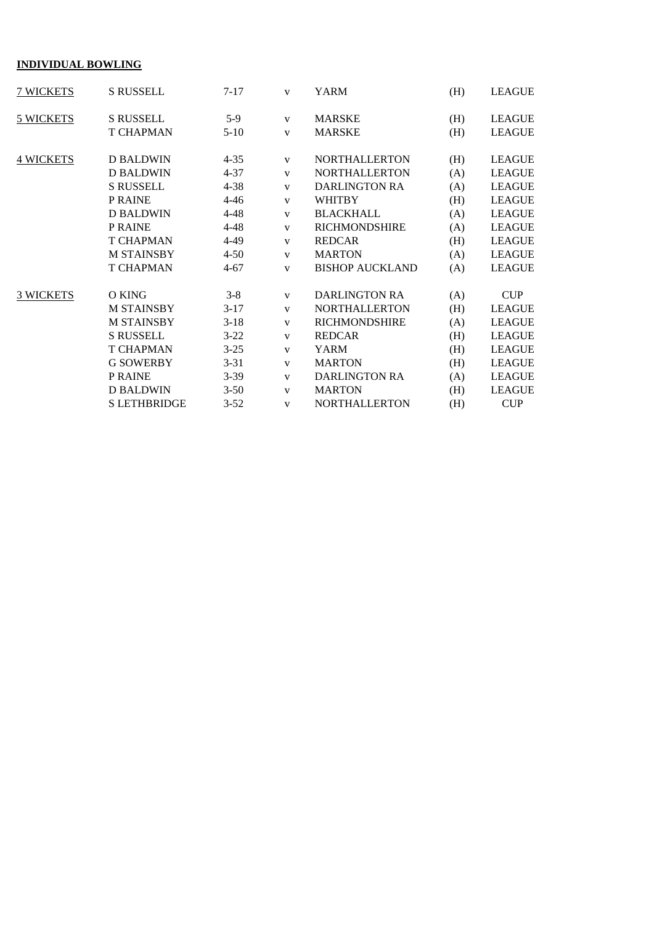# **INDIVIDUAL BOWLING**

| 7 WICKETS        | S RUSSELL           | $7 - 17$ | $\mathbf{V}$ | YARM                   | (H) | <b>LEAGUE</b> |
|------------------|---------------------|----------|--------------|------------------------|-----|---------------|
| 5 WICKETS        | <b>S RUSSELL</b>    | $5-9$    | V            | <b>MARSKE</b>          | (H) | <b>LEAGUE</b> |
|                  | <b>T CHAPMAN</b>    | $5 - 10$ | $\mathbf{V}$ | <b>MARSKE</b>          | (H) | <b>LEAGUE</b> |
| <b>4 WICKETS</b> | <b>D BALDWIN</b>    | $4 - 35$ | $\mathbf{V}$ | <b>NORTHALLERTON</b>   | (H) | <b>LEAGUE</b> |
|                  | <b>D BALDWIN</b>    | $4 - 37$ | V            | <b>NORTHALLERTON</b>   | (A) | <b>LEAGUE</b> |
|                  | <b>S RUSSELL</b>    | $4 - 38$ | $\mathbf{V}$ | <b>DARLINGTON RA</b>   | (A) | <b>LEAGUE</b> |
|                  | P RAINE             | $4 - 46$ | $\mathbf{V}$ | <b>WHITBY</b>          | (H) | <b>LEAGUE</b> |
|                  | <b>D BALDWIN</b>    | $4 - 48$ | $\mathbf{V}$ | <b>BLACKHALL</b>       | (A) | <b>LEAGUE</b> |
|                  | P RAINE             | $4 - 48$ | $\mathbf{V}$ | <b>RICHMONDSHIRE</b>   | (A) | <b>LEAGUE</b> |
|                  | <b>T CHAPMAN</b>    | 4-49     | $\mathbf{V}$ | <b>REDCAR</b>          | (H) | <b>LEAGUE</b> |
|                  | <b>M STAINSBY</b>   | $4 - 50$ | $\mathbf{V}$ | <b>MARTON</b>          | (A) | <b>LEAGUE</b> |
|                  | <b>T CHAPMAN</b>    | $4 - 67$ | $\mathbf{V}$ | <b>BISHOP AUCKLAND</b> | (A) | <b>LEAGUE</b> |
| <b>3 WICKETS</b> | O KING              | $3 - 8$  | V            | <b>DARLINGTON RA</b>   | (A) | <b>CUP</b>    |
|                  | <b>M STAINSBY</b>   | $3-17$   | $\mathbf{V}$ | <b>NORTHALLERTON</b>   | (H) | <b>LEAGUE</b> |
|                  | <b>M STAINSBY</b>   | $3-18$   | $\mathbf{V}$ | <b>RICHMONDSHIRE</b>   | (A) | <b>LEAGUE</b> |
|                  | <b>S RUSSELL</b>    | $3 - 22$ | $\mathbf{V}$ | <b>REDCAR</b>          | (H) | <b>LEAGUE</b> |
|                  | <b>T CHAPMAN</b>    | $3 - 25$ | $\mathbf{V}$ | YARM                   | (H) | <b>LEAGUE</b> |
|                  | <b>G SOWERBY</b>    | $3 - 31$ | $\mathbf{V}$ | <b>MARTON</b>          | (H) | <b>LEAGUE</b> |
|                  | P RAINE             | $3-39$   | $\mathbf{V}$ | <b>DARLINGTON RA</b>   | (A) | <b>LEAGUE</b> |
|                  | <b>D BALDWIN</b>    | $3 - 50$ | $\mathbf{V}$ | <b>MARTON</b>          | (H) | <b>LEAGUE</b> |
|                  | <b>S LETHBRIDGE</b> | $3 - 52$ | $\mathbf{V}$ | <b>NORTHALLERTON</b>   | (H) | CUP           |